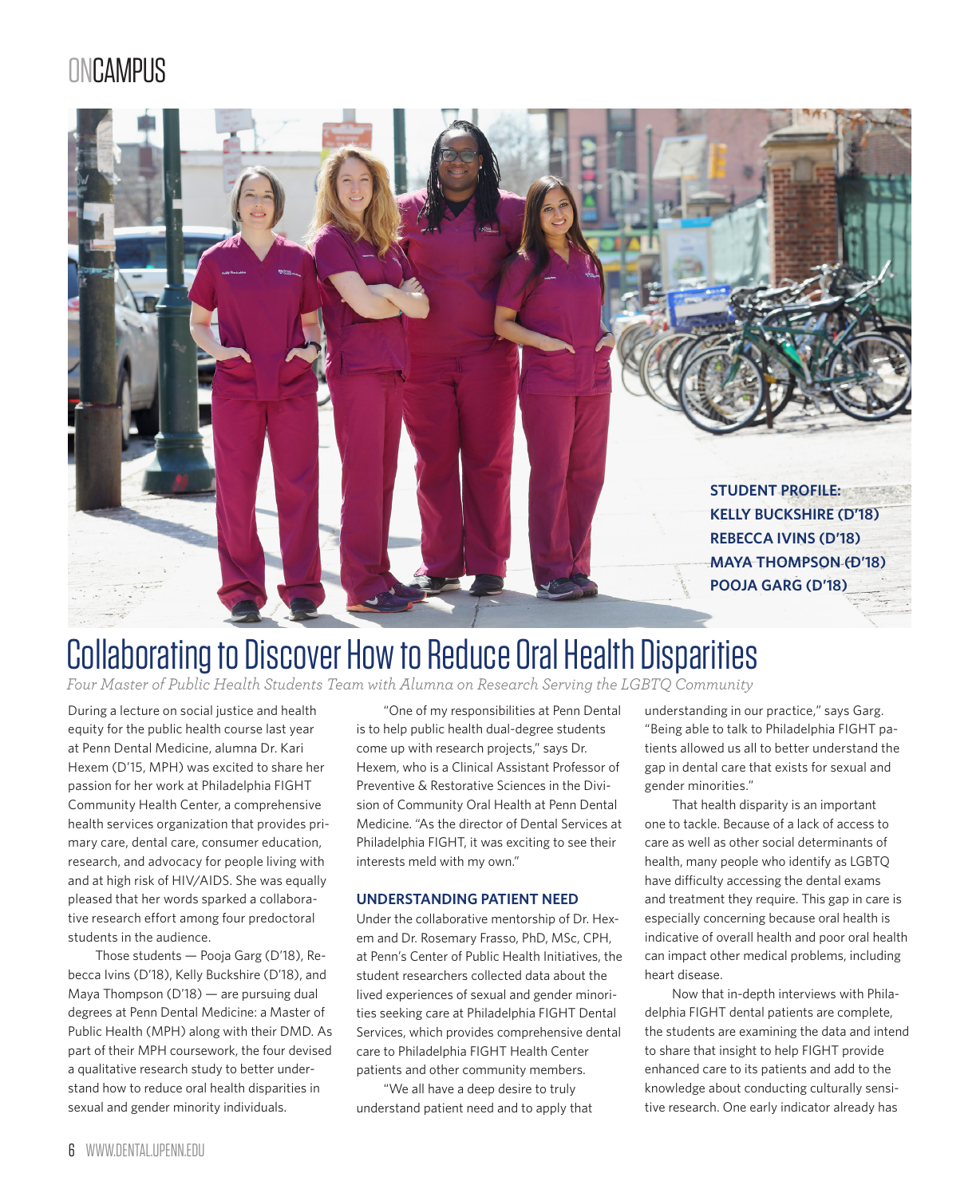## **ONCAMPUS**



# Collaborating to Discover How to Reduce Oral Health Disparities

*Four Master of Public Health Students Team with Alumna on Research Serving the LGBTQ Community*

During a lecture on social justice and health equity for the public health course last year at Penn Dental Medicine, alumna Dr. Kari Hexem (D'15, MPH) was excited to share her passion for her work at Philadelphia FIGHT Community Health Center, a comprehensive health services organization that provides primary care, dental care, consumer education, research, and advocacy for people living with and at high risk of HIV/AIDS. She was equally pleased that her words sparked a collaborative research effort among four predoctoral students in the audience.

Those students — Pooja Garg (D'18), Rebecca Ivins (D'18), Kelly Buckshire (D'18), and Maya Thompson (D'18) — are pursuing dual degrees at Penn Dental Medicine: a Master of Public Health (MPH) along with their DMD. As part of their MPH coursework, the four devised a qualitative research study to better understand how to reduce oral health disparities in sexual and gender minority individuals.

"One of my responsibilities at Penn Dental is to help public health dual-degree students come up with research projects," says Dr. Hexem, who is a Clinical Assistant Professor of Preventive & Restorative Sciences in the Division of Community Oral Health at Penn Dental Medicine. "As the director of Dental Services at Philadelphia FIGHT, it was exciting to see their interests meld with my own."

#### **UNDERSTANDING PATIENT NEED**

Under the collaborative mentorship of Dr. Hexem and Dr. Rosemary Frasso, PhD, MSc, CPH, at Penn's Center of Public Health Initiatives, the student researchers collected data about the lived experiences of sexual and gender minorities seeking care at Philadelphia FIGHT Dental Services, which provides comprehensive dental care to Philadelphia FIGHT Health Center patients and other community members.

"We all have a deep desire to truly understand patient need and to apply that

understanding in our practice," says Garg. "Being able to talk to Philadelphia FIGHT patients allowed us all to better understand the gap in dental care that exists for sexual and gender minorities."

That health disparity is an important one to tackle. Because of a lack of access to care as well as other social determinants of health, many people who identify as LGBTQ have difficulty accessing the dental exams and treatment they require. This gap in care is especially concerning because oral health is indicative of overall health and poor oral health can impact other medical problems, including heart disease.

Now that in-depth interviews with Philadelphia FIGHT dental patients are complete, the students are examining the data and intend to share that insight to help FIGHT provide enhanced care to its patients and add to the knowledge about conducting culturally sensitive research. One early indicator already has